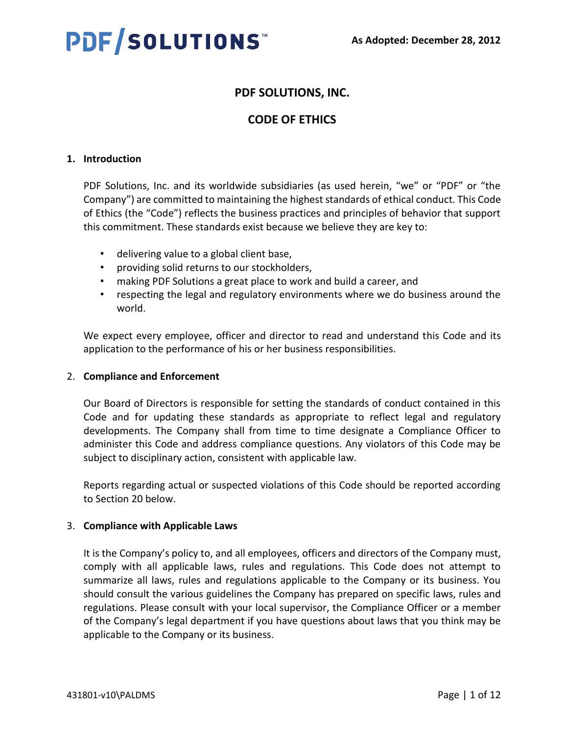# **PDF/SOLUTIONS™**

# **PDF SOLUTIONS, INC.**

# **CODE OF ETHICS**

## **1. Introduction**

PDF Solutions, Inc. and its worldwide subsidiaries (as used herein, "we" or "PDF" or "the Company") are committed to maintaining the highest standards of ethical conduct. This Code of Ethics (the "Code") reflects the business practices and principles of behavior that support this commitment. These standards exist because we believe they are key to:

- delivering value to a global client base,
- providing solid returns to our stockholders,
- making PDF Solutions a great place to work and build a career, and
- respecting the legal and regulatory environments where we do business around the world.

We expect every employee, officer and director to read and understand this Code and its application to the performance of his or her business responsibilities.

## 2. **Compliance and Enforcement**

Our Board of Directors is responsible for setting the standards of conduct contained in this Code and for updating these standards as appropriate to reflect legal and regulatory developments. The Company shall from time to time designate a Compliance Officer to administer this Code and address compliance questions. Any violators of this Code may be subject to disciplinary action, consistent with applicable law.

Reports regarding actual or suspected violations of this Code should be reported according to Section 20 below.

## 3. **Compliance with Applicable Laws**

It is the Company's policy to, and all employees, officers and directors of the Company must, comply with all applicable laws, rules and regulations. This Code does not attempt to summarize all laws, rules and regulations applicable to the Company or its business. You should consult the various guidelines the Company has prepared on specific laws, rules and regulations. Please consult with your local supervisor, the Compliance Officer or a member of the Company's legal department if you have questions about laws that you think may be applicable to the Company or its business.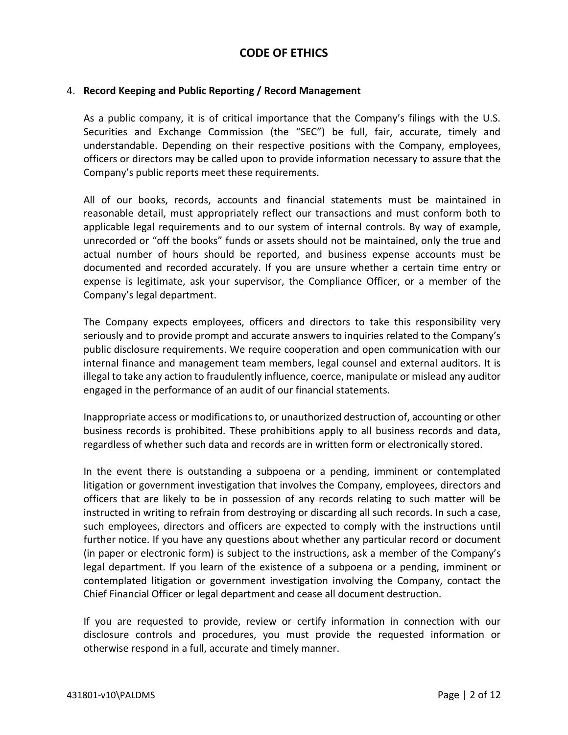#### 4. **Record Keeping and Public Reporting / Record Management**

As a public company, it is of critical importance that the Company's filings with the U.S. Securities and Exchange Commission (the "SEC") be full, fair, accurate, timely and understandable. Depending on their respective positions with the Company, employees, officers or directors may be called upon to provide information necessary to assure that the Company's public reports meet these requirements.

All of our books, records, accounts and financial statements must be maintained in reasonable detail, must appropriately reflect our transactions and must conform both to applicable legal requirements and to our system of internal controls. By way of example, unrecorded or "off the books" funds or assets should not be maintained, only the true and actual number of hours should be reported, and business expense accounts must be documented and recorded accurately. If you are unsure whether a certain time entry or expense is legitimate, ask your supervisor, the Compliance Officer, or a member of the Company's legal department.

The Company expects employees, officers and directors to take this responsibility very seriously and to provide prompt and accurate answers to inquiries related to the Company's public disclosure requirements. We require cooperation and open communication with our internal finance and management team members, legal counsel and external auditors. It is illegal to take any action to fraudulently influence, coerce, manipulate or mislead any auditor engaged in the performance of an audit of our financial statements.

Inappropriate access or modifications to, or unauthorized destruction of, accounting or other business records is prohibited. These prohibitions apply to all business records and data, regardless of whether such data and records are in written form or electronically stored.

In the event there is outstanding a subpoena or a pending, imminent or contemplated litigation or government investigation that involves the Company, employees, directors and officers that are likely to be in possession of any records relating to such matter will be instructed in writing to refrain from destroying or discarding all such records. In such a case, such employees, directors and officers are expected to comply with the instructions until further notice. If you have any questions about whether any particular record or document (in paper or electronic form) is subject to the instructions, ask a member of the Company's legal department. If you learn of the existence of a subpoena or a pending, imminent or contemplated litigation or government investigation involving the Company, contact the Chief Financial Officer or legal department and cease all document destruction.

If you are requested to provide, review or certify information in connection with our disclosure controls and procedures, you must provide the requested information or otherwise respond in a full, accurate and timely manner.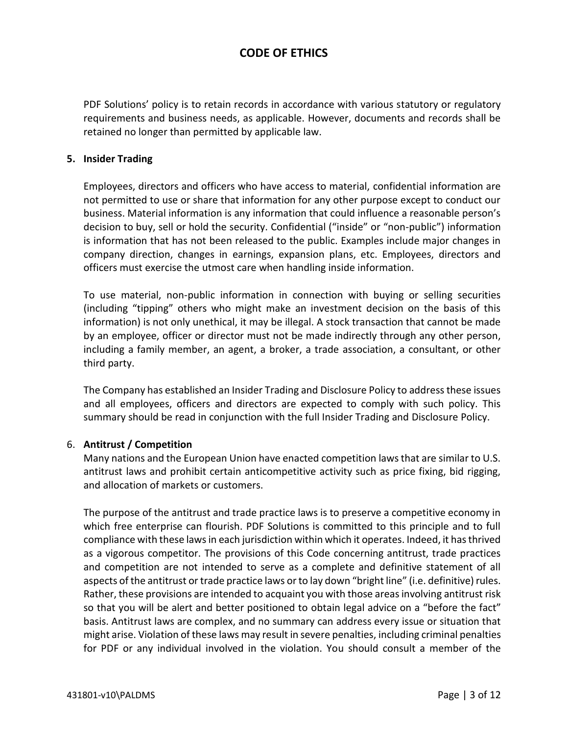PDF Solutions' policy is to retain records in accordance with various statutory or regulatory requirements and business needs, as applicable. However, documents and records shall be retained no longer than permitted by applicable law.

#### **5. Insider Trading**

Employees, directors and officers who have access to material, confidential information are not permitted to use or share that information for any other purpose except to conduct our business. Material information is any information that could influence a reasonable person's decision to buy, sell or hold the security. Confidential ("inside" or "non-public") information is information that has not been released to the public. Examples include major changes in company direction, changes in earnings, expansion plans, etc. Employees, directors and officers must exercise the utmost care when handling inside information.

To use material, non-public information in connection with buying or selling securities (including "tipping" others who might make an investment decision on the basis of this information) is not only unethical, it may be illegal. A stock transaction that cannot be made by an employee, officer or director must not be made indirectly through any other person, including a family member, an agent, a broker, a trade association, a consultant, or other third party.

The Company has established an Insider Trading and Disclosure Policy to address these issues and all employees, officers and directors are expected to comply with such policy. This summary should be read in conjunction with the full Insider Trading and Disclosure Policy.

## 6. **Antitrust / Competition**

Many nations and the European Union have enacted competition laws that are similar to U.S. antitrust laws and prohibit certain anticompetitive activity such as price fixing, bid rigging, and allocation of markets or customers.

The purpose of the antitrust and trade practice laws is to preserve a competitive economy in which free enterprise can flourish. PDF Solutions is committed to this principle and to full compliance with these laws in each jurisdiction within which it operates. Indeed, it has thrived as a vigorous competitor. The provisions of this Code concerning antitrust, trade practices and competition are not intended to serve as a complete and definitive statement of all aspects of the antitrust or trade practice laws or to lay down "bright line" (i.e. definitive) rules. Rather, these provisions are intended to acquaint you with those areas involving antitrust risk so that you will be alert and better positioned to obtain legal advice on a "before the fact" basis. Antitrust laws are complex, and no summary can address every issue or situation that might arise. Violation of these laws may result in severe penalties, including criminal penalties for PDF or any individual involved in the violation. You should consult a member of the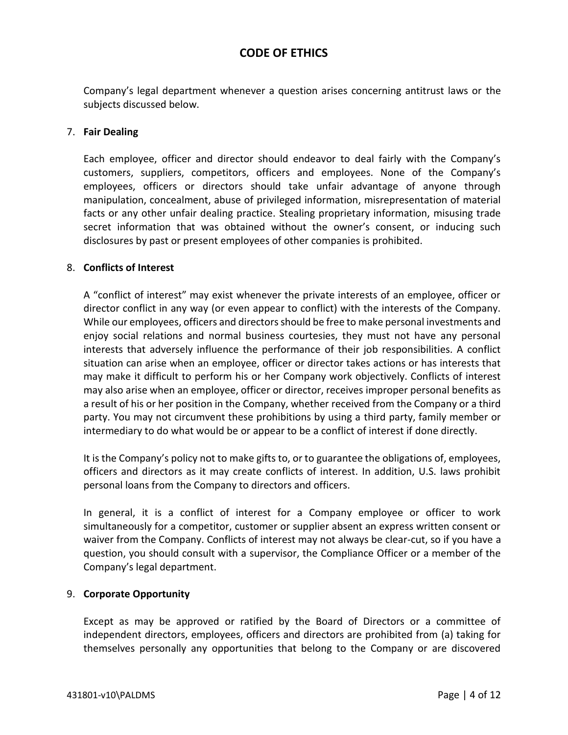Company's legal department whenever a question arises concerning antitrust laws or the subjects discussed below.

#### 7. **Fair Dealing**

Each employee, officer and director should endeavor to deal fairly with the Company's customers, suppliers, competitors, officers and employees. None of the Company's employees, officers or directors should take unfair advantage of anyone through manipulation, concealment, abuse of privileged information, misrepresentation of material facts or any other unfair dealing practice. Stealing proprietary information, misusing trade secret information that was obtained without the owner's consent, or inducing such disclosures by past or present employees of other companies is prohibited.

#### 8. **Conflicts of Interest**

A "conflict of interest" may exist whenever the private interests of an employee, officer or director conflict in any way (or even appear to conflict) with the interests of the Company. While our employees, officers and directors should be free to make personal investments and enjoy social relations and normal business courtesies, they must not have any personal interests that adversely influence the performance of their job responsibilities. A conflict situation can arise when an employee, officer or director takes actions or has interests that may make it difficult to perform his or her Company work objectively. Conflicts of interest may also arise when an employee, officer or director, receives improper personal benefits as a result of his or her position in the Company, whether received from the Company or a third party. You may not circumvent these prohibitions by using a third party, family member or intermediary to do what would be or appear to be a conflict of interest if done directly.

It is the Company's policy not to make gifts to, or to guarantee the obligations of, employees, officers and directors as it may create conflicts of interest. In addition, U.S. laws prohibit personal loans from the Company to directors and officers.

In general, it is a conflict of interest for a Company employee or officer to work simultaneously for a competitor, customer or supplier absent an express written consent or waiver from the Company. Conflicts of interest may not always be clear-cut, so if you have a question, you should consult with a supervisor, the Compliance Officer or a member of the Company's legal department.

## 9. **Corporate Opportunity**

Except as may be approved or ratified by the Board of Directors or a committee of independent directors, employees, officers and directors are prohibited from (a) taking for themselves personally any opportunities that belong to the Company or are discovered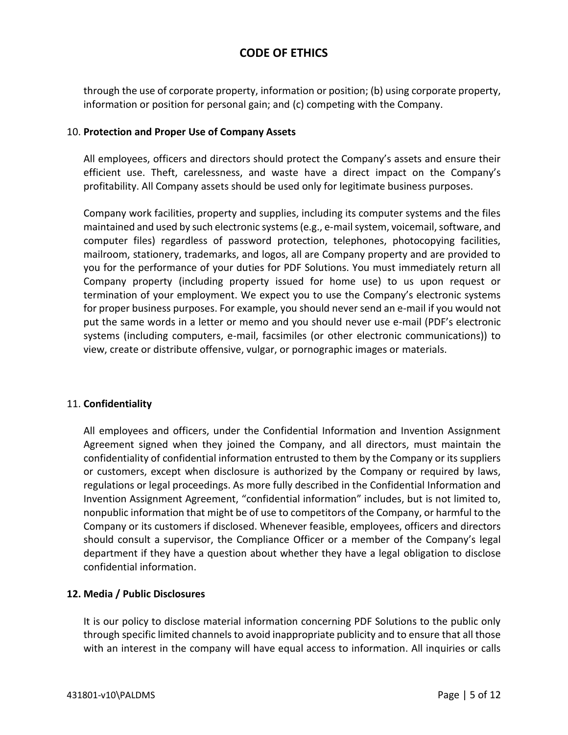through the use of corporate property, information or position; (b) using corporate property, information or position for personal gain; and (c) competing with the Company.

#### 10. **Protection and Proper Use of Company Assets**

All employees, officers and directors should protect the Company's assets and ensure their efficient use. Theft, carelessness, and waste have a direct impact on the Company's profitability. All Company assets should be used only for legitimate business purposes.

Company work facilities, property and supplies, including its computer systems and the files maintained and used by such electronic systems (e.g., e-mail system, voicemail, software, and computer files) regardless of password protection, telephones, photocopying facilities, mailroom, stationery, trademarks, and logos, all are Company property and are provided to you for the performance of your duties for PDF Solutions. You must immediately return all Company property (including property issued for home use) to us upon request or termination of your employment. We expect you to use the Company's electronic systems for proper business purposes. For example, you should never send an e-mail if you would not put the same words in a letter or memo and you should never use e-mail (PDF's electronic systems (including computers, e-mail, facsimiles (or other electronic communications)) to view, create or distribute offensive, vulgar, or pornographic images or materials.

#### 11. **Confidentiality**

All employees and officers, under the Confidential Information and Invention Assignment Agreement signed when they joined the Company, and all directors, must maintain the confidentiality of confidential information entrusted to them by the Company or its suppliers or customers, except when disclosure is authorized by the Company or required by laws, regulations or legal proceedings. As more fully described in the Confidential Information and Invention Assignment Agreement, "confidential information" includes, but is not limited to, nonpublic information that might be of use to competitors of the Company, or harmful to the Company or its customers if disclosed. Whenever feasible, employees, officers and directors should consult a supervisor, the Compliance Officer or a member of the Company's legal department if they have a question about whether they have a legal obligation to disclose confidential information.

## **12. Media / Public Disclosures**

It is our policy to disclose material information concerning PDF Solutions to the public only through specific limited channels to avoid inappropriate publicity and to ensure that all those with an interest in the company will have equal access to information. All inquiries or calls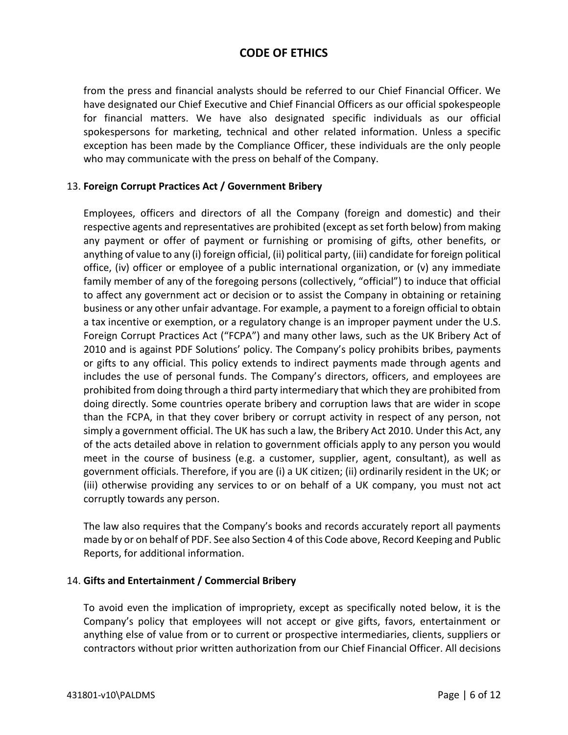from the press and financial analysts should be referred to our Chief Financial Officer. We have designated our Chief Executive and Chief Financial Officers as our official spokespeople for financial matters. We have also designated specific individuals as our official spokespersons for marketing, technical and other related information. Unless a specific exception has been made by the Compliance Officer, these individuals are the only people who may communicate with the press on behalf of the Company.

## 13. **Foreign Corrupt Practices Act / Government Bribery**

Employees, officers and directors of all the Company (foreign and domestic) and their respective agents and representatives are prohibited (except as set forth below) from making any payment or offer of payment or furnishing or promising of gifts, other benefits, or anything of value to any (i) foreign official, (ii) political party, (iii) candidate for foreign political office, (iv) officer or employee of a public international organization, or (v) any immediate family member of any of the foregoing persons (collectively, "official") to induce that official to affect any government act or decision or to assist the Company in obtaining or retaining business or any other unfair advantage. For example, a payment to a foreign official to obtain a tax incentive or exemption, or a regulatory change is an improper payment under the U.S. Foreign Corrupt Practices Act ("FCPA") and many other laws, such as the UK Bribery Act of 2010 and is against PDF Solutions' policy. The Company's policy prohibits bribes, payments or gifts to any official. This policy extends to indirect payments made through agents and includes the use of personal funds. The Company's directors, officers, and employees are prohibited from doing through a third party intermediary that which they are prohibited from doing directly. Some countries operate bribery and corruption laws that are wider in scope than the FCPA, in that they cover bribery or corrupt activity in respect of any person, not simply a government official. The UK has such a law, the Bribery Act 2010. Under this Act, any of the acts detailed above in relation to government officials apply to any person you would meet in the course of business (e.g. a customer, supplier, agent, consultant), as well as government officials. Therefore, if you are (i) a UK citizen; (ii) ordinarily resident in the UK; or (iii) otherwise providing any services to or on behalf of a UK company, you must not act corruptly towards any person.

The law also requires that the Company's books and records accurately report all payments made by or on behalf of PDF. See also Section 4 of this Code above, Record Keeping and Public Reports, for additional information.

## 14. **Gifts and Entertainment / Commercial Bribery**

To avoid even the implication of impropriety, except as specifically noted below, it is the Company's policy that employees will not accept or give gifts, favors, entertainment or anything else of value from or to current or prospective intermediaries, clients, suppliers or contractors without prior written authorization from our Chief Financial Officer. All decisions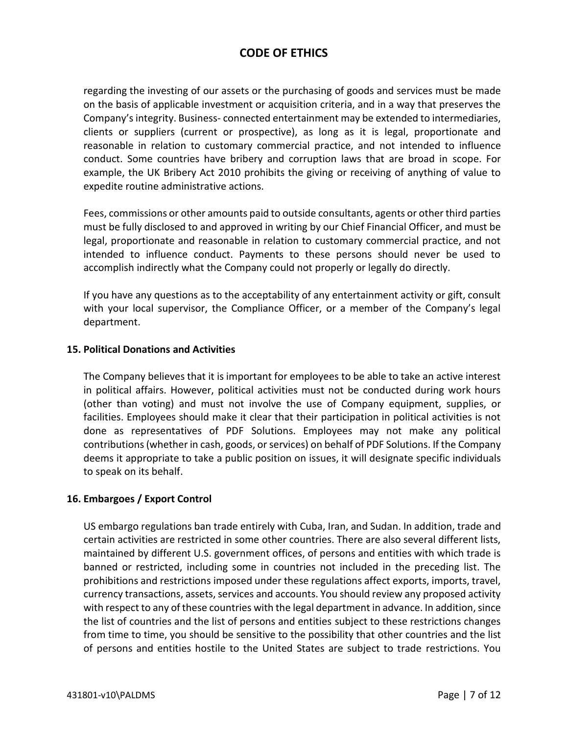regarding the investing of our assets or the purchasing of goods and services must be made on the basis of applicable investment or acquisition criteria, and in a way that preserves the Company's integrity. Business- connected entertainment may be extended to intermediaries, clients or suppliers (current or prospective), as long as it is legal, proportionate and reasonable in relation to customary commercial practice, and not intended to influence conduct. Some countries have bribery and corruption laws that are broad in scope. For example, the UK Bribery Act 2010 prohibits the giving or receiving of anything of value to expedite routine administrative actions.

Fees, commissions or other amounts paid to outside consultants, agents or other third parties must be fully disclosed to and approved in writing by our Chief Financial Officer, and must be legal, proportionate and reasonable in relation to customary commercial practice, and not intended to influence conduct. Payments to these persons should never be used to accomplish indirectly what the Company could not properly or legally do directly.

If you have any questions as to the acceptability of any entertainment activity or gift, consult with your local supervisor, the Compliance Officer, or a member of the Company's legal department.

#### **15. Political Donations and Activities**

The Company believes that it is important for employees to be able to take an active interest in political affairs. However, political activities must not be conducted during work hours (other than voting) and must not involve the use of Company equipment, supplies, or facilities. Employees should make it clear that their participation in political activities is not done as representatives of PDF Solutions. Employees may not make any political contributions (whether in cash, goods, or services) on behalf of PDF Solutions. If the Company deems it appropriate to take a public position on issues, it will designate specific individuals to speak on its behalf.

## **16. Embargoes / Export Control**

US embargo regulations ban trade entirely with Cuba, Iran, and Sudan. In addition, trade and certain activities are restricted in some other countries. There are also several different lists, maintained by different U.S. government offices, of persons and entities with which trade is banned or restricted, including some in countries not included in the preceding list. The prohibitions and restrictions imposed under these regulations affect exports, imports, travel, currency transactions, assets, services and accounts. You should review any proposed activity with respect to any of these countries with the legal department in advance. In addition, since the list of countries and the list of persons and entities subject to these restrictions changes from time to time, you should be sensitive to the possibility that other countries and the list of persons and entities hostile to the United States are subject to trade restrictions. You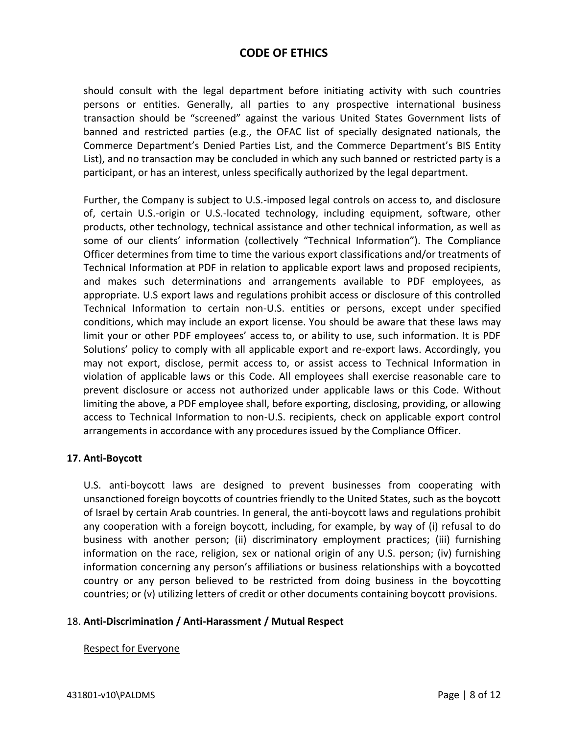should consult with the legal department before initiating activity with such countries persons or entities. Generally, all parties to any prospective international business transaction should be "screened" against the various United States Government lists of banned and restricted parties (e.g., the OFAC list of specially designated nationals, the Commerce Department's Denied Parties List, and the Commerce Department's BIS Entity List), and no transaction may be concluded in which any such banned or restricted party is a participant, or has an interest, unless specifically authorized by the legal department.

Further, the Company is subject to U.S.-imposed legal controls on access to, and disclosure of, certain U.S.-origin or U.S.-located technology, including equipment, software, other products, other technology, technical assistance and other technical information, as well as some of our clients' information (collectively "Technical Information"). The Compliance Officer determines from time to time the various export classifications and/or treatments of Technical Information at PDF in relation to applicable export laws and proposed recipients, and makes such determinations and arrangements available to PDF employees, as appropriate. U.S export laws and regulations prohibit access or disclosure of this controlled Technical Information to certain non-U.S. entities or persons, except under specified conditions, which may include an export license. You should be aware that these laws may limit your or other PDF employees' access to, or ability to use, such information. It is PDF Solutions' policy to comply with all applicable export and re-export laws. Accordingly, you may not export, disclose, permit access to, or assist access to Technical Information in violation of applicable laws or this Code. All employees shall exercise reasonable care to prevent disclosure or access not authorized under applicable laws or this Code. Without limiting the above, a PDF employee shall, before exporting, disclosing, providing, or allowing access to Technical Information to non-U.S. recipients, check on applicable export control arrangements in accordance with any procedures issued by the Compliance Officer.

#### **17. Anti-Boycott**

U.S. anti-boycott laws are designed to prevent businesses from cooperating with unsanctioned foreign boycotts of countries friendly to the United States, such as the boycott of Israel by certain Arab countries. In general, the anti-boycott laws and regulations prohibit any cooperation with a foreign boycott, including, for example, by way of (i) refusal to do business with another person; (ii) discriminatory employment practices; (iii) furnishing information on the race, religion, sex or national origin of any U.S. person; (iv) furnishing information concerning any person's affiliations or business relationships with a boycotted country or any person believed to be restricted from doing business in the boycotting countries; or (v) utilizing letters of credit or other documents containing boycott provisions.

#### 18. **Anti-Discrimination / Anti-Harassment / Mutual Respect**

#### Respect for Everyone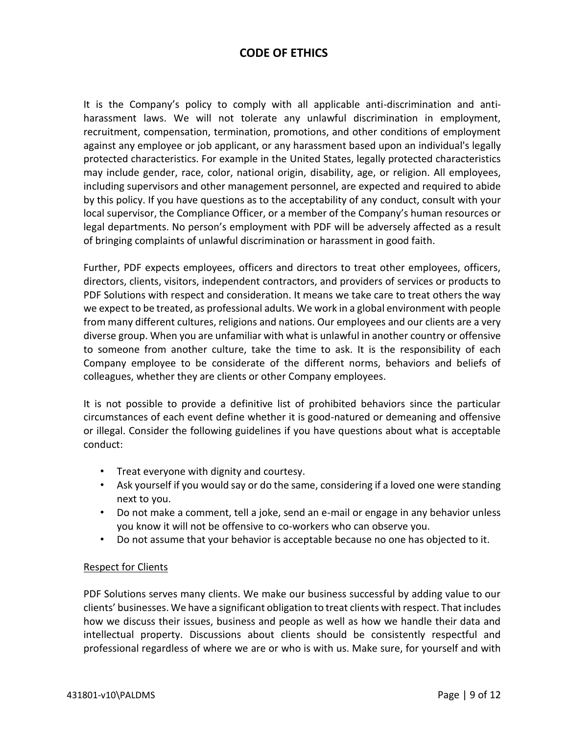It is the Company's policy to comply with all applicable anti-discrimination and antiharassment laws. We will not tolerate any unlawful discrimination in employment, recruitment, compensation, termination, promotions, and other conditions of employment against any employee or job applicant, or any harassment based upon an individual's legally protected characteristics. For example in the United States, legally protected characteristics may include gender, race, color, national origin, disability, age, or religion. All employees, including supervisors and other management personnel, are expected and required to abide by this policy. If you have questions as to the acceptability of any conduct, consult with your local supervisor, the Compliance Officer, or a member of the Company's human resources or legal departments. No person's employment with PDF will be adversely affected as a result of bringing complaints of unlawful discrimination or harassment in good faith.

Further, PDF expects employees, officers and directors to treat other employees, officers, directors, clients, visitors, independent contractors, and providers of services or products to PDF Solutions with respect and consideration. It means we take care to treat others the way we expect to be treated, as professional adults. We work in a global environment with people from many different cultures, religions and nations. Our employees and our clients are a very diverse group. When you are unfamiliar with what is unlawful in another country or offensive to someone from another culture, take the time to ask. It is the responsibility of each Company employee to be considerate of the different norms, behaviors and beliefs of colleagues, whether they are clients or other Company employees.

It is not possible to provide a definitive list of prohibited behaviors since the particular circumstances of each event define whether it is good-natured or demeaning and offensive or illegal. Consider the following guidelines if you have questions about what is acceptable conduct:

- Treat everyone with dignity and courtesy.
- Ask yourself if you would say or do the same, considering if a loved one were standing next to you.
- Do not make a comment, tell a joke, send an e-mail or engage in any behavior unless you know it will not be offensive to co-workers who can observe you.
- Do not assume that your behavior is acceptable because no one has objected to it.

## Respect for Clients

PDF Solutions serves many clients. We make our business successful by adding value to our clients' businesses. We have a significant obligation to treat clients with respect. That includes how we discuss their issues, business and people as well as how we handle their data and intellectual property. Discussions about clients should be consistently respectful and professional regardless of where we are or who is with us. Make sure, for yourself and with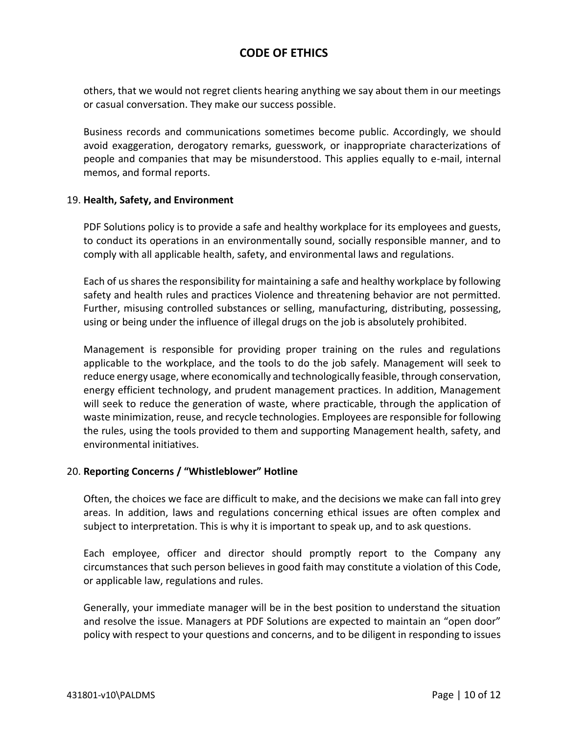others, that we would not regret clients hearing anything we say about them in our meetings or casual conversation. They make our success possible.

Business records and communications sometimes become public. Accordingly, we should avoid exaggeration, derogatory remarks, guesswork, or inappropriate characterizations of people and companies that may be misunderstood. This applies equally to e-mail, internal memos, and formal reports.

#### 19. **Health, Safety, and Environment**

PDF Solutions policy is to provide a safe and healthy workplace for its employees and guests, to conduct its operations in an environmentally sound, socially responsible manner, and to comply with all applicable health, safety, and environmental laws and regulations.

Each of us shares the responsibility for maintaining a safe and healthy workplace by following safety and health rules and practices Violence and threatening behavior are not permitted. Further, misusing controlled substances or selling, manufacturing, distributing, possessing, using or being under the influence of illegal drugs on the job is absolutely prohibited.

Management is responsible for providing proper training on the rules and regulations applicable to the workplace, and the tools to do the job safely. Management will seek to reduce energy usage, where economically and technologically feasible, through conservation, energy efficient technology, and prudent management practices. In addition, Management will seek to reduce the generation of waste, where practicable, through the application of waste minimization, reuse, and recycle technologies. Employees are responsible for following the rules, using the tools provided to them and supporting Management health, safety, and environmental initiatives.

## 20. **Reporting Concerns / "Whistleblower" Hotline**

Often, the choices we face are difficult to make, and the decisions we make can fall into grey areas. In addition, laws and regulations concerning ethical issues are often complex and subject to interpretation. This is why it is important to speak up, and to ask questions.

Each employee, officer and director should promptly report to the Company any circumstances that such person believes in good faith may constitute a violation of this Code, or applicable law, regulations and rules.

Generally, your immediate manager will be in the best position to understand the situation and resolve the issue. Managers at PDF Solutions are expected to maintain an "open door" policy with respect to your questions and concerns, and to be diligent in responding to issues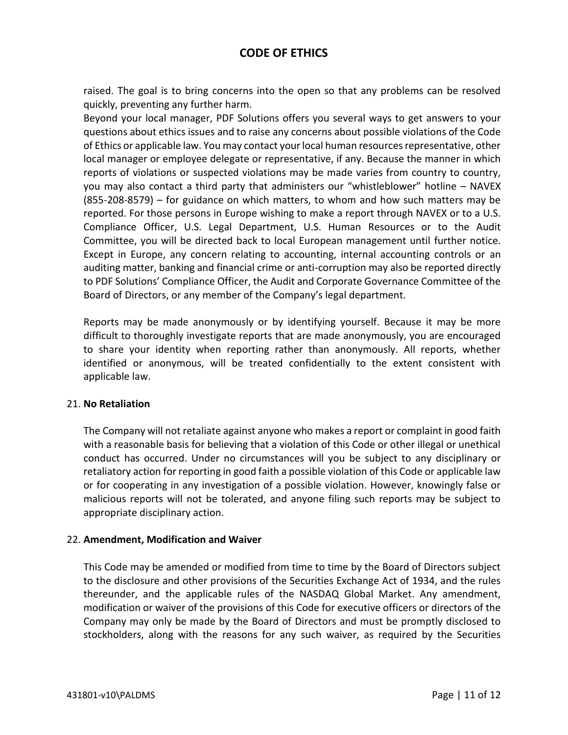raised. The goal is to bring concerns into the open so that any problems can be resolved quickly, preventing any further harm.

Beyond your local manager, PDF Solutions offers you several ways to get answers to your questions about ethics issues and to raise any concerns about possible violations of the Code of Ethics or applicable law. You may contact your local human resources representative, other local manager or employee delegate or representative, if any. Because the manner in which reports of violations or suspected violations may be made varies from country to country, you may also contact a third party that administers our "whistleblower" hotline – NAVEX (855-208-8579) – for guidance on which matters, to whom and how such matters may be reported. For those persons in Europe wishing to make a report through NAVEX or to a U.S. Compliance Officer, U.S. Legal Department, U.S. Human Resources or to the Audit Committee, you will be directed back to local European management until further notice. Except in Europe, any concern relating to accounting, internal accounting controls or an auditing matter, banking and financial crime or anti-corruption may also be reported directly to PDF Solutions' Compliance Officer, the Audit and Corporate Governance Committee of the Board of Directors, or any member of the Company's legal department.

Reports may be made anonymously or by identifying yourself. Because it may be more difficult to thoroughly investigate reports that are made anonymously, you are encouraged to share your identity when reporting rather than anonymously. All reports, whether identified or anonymous, will be treated confidentially to the extent consistent with applicable law.

#### 21. **No Retaliation**

The Company will not retaliate against anyone who makes a report or complaint in good faith with a reasonable basis for believing that a violation of this Code or other illegal or unethical conduct has occurred. Under no circumstances will you be subject to any disciplinary or retaliatory action for reporting in good faith a possible violation of this Code or applicable law or for cooperating in any investigation of a possible violation. However, knowingly false or malicious reports will not be tolerated, and anyone filing such reports may be subject to appropriate disciplinary action.

## 22. **Amendment, Modification and Waiver**

This Code may be amended or modified from time to time by the Board of Directors subject to the disclosure and other provisions of the Securities Exchange Act of 1934, and the rules thereunder, and the applicable rules of the NASDAQ Global Market. Any amendment, modification or waiver of the provisions of this Code for executive officers or directors of the Company may only be made by the Board of Directors and must be promptly disclosed to stockholders, along with the reasons for any such waiver, as required by the Securities